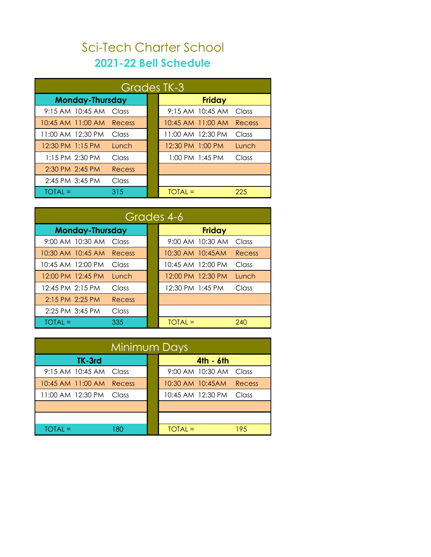## Sci-Tech Charter School **2021-22 Bell Schedule**

| Grades TK-3            |        |  |                   |                   |        |  |
|------------------------|--------|--|-------------------|-------------------|--------|--|
| <b>Monday-Thursday</b> |        |  |                   | <b>Friday</b>     |        |  |
| 9:15 AM 10:45 AM       | Class  |  |                   | 9:15 AM 10:45 AM  | Class  |  |
| 10:45 AM 11:00 AM      | Recess |  |                   | 10:45 AM 11:00 AM | Recess |  |
| 11:00 AM 12:30 PM      | Class  |  | 11:00 AM 12:30 PM |                   | Class  |  |
| 12:30 PM 1:15 PM       | Lunch  |  | 12:30 PM 1:00 PM  |                   | Lunch  |  |
| $1:15$ PM $2:30$ PM    | Class  |  |                   | 1:00 PM 1:45 PM   | Class  |  |
| 2:30 PM 2:45 PM        | Recess |  |                   |                   |        |  |
| 2:45 PM 3:45 PM        | Class  |  |                   |                   |        |  |
| TOTAL =                | 315    |  | TOTAL =           |                   | 225    |  |

| Grades 4-6                |        |  |                           |        |  |  |
|---------------------------|--------|--|---------------------------|--------|--|--|
| <b>Monday-Thursday</b>    |        |  | <b>Friday</b>             |        |  |  |
| 9:00 AM 10:30 AM Class    |        |  | 9:00 AM 10:30 AM          | Class  |  |  |
| 10:30 AM 10:45 AM Recess  |        |  | 10:30 AM 10:45AM          | Recess |  |  |
| 10:45 AM 12:00 PM         | Class  |  | 10:45 AM 12:00 PM         | Class  |  |  |
| 12:00 PM 12:45 PM         | Lunch  |  | 12:00 PM 12:30 PM         | Lunch  |  |  |
| 12:45 PM 2:15 PM          | Class  |  | 12:30 PM 1:45 PM          | Class  |  |  |
| 2:15 PM 2:25 PM           | Recess |  |                           |        |  |  |
| 2:25 PM 3:45 PM           | Class  |  |                           |        |  |  |
| $\overline{IO}$ TOTAL $=$ | 335    |  | $\overline{IO}$ TOTAL $=$ | 240    |  |  |

| Minimum Days                |  |                         |        |  |  |  |
|-----------------------------|--|-------------------------|--------|--|--|--|
| TK-3rd                      |  | $4th - 6th$             |        |  |  |  |
| $9:15$ AM $10:45$ AM Class  |  | 9:00 AM 10:30 AM Class  |        |  |  |  |
| 10:45 AM 11:00 AM<br>Recess |  | 10:30 AM 10:45 AM       | Recess |  |  |  |
| 11:00 AM 12:30 PM Class     |  | 10:45 AM 12:30 PM Class |        |  |  |  |
|                             |  |                         |        |  |  |  |
|                             |  |                         |        |  |  |  |
| TOTAL =<br>180              |  | $TOIAL =$               | 195    |  |  |  |